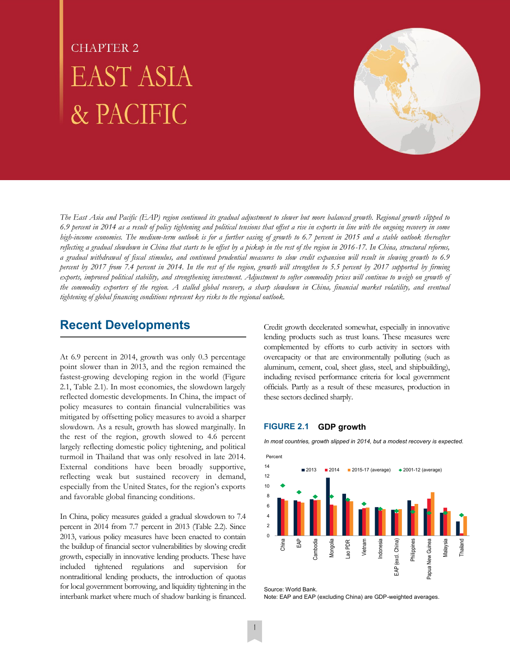# **CHAPTER 2 EAST ASIA** & PACIFIC



*The East Asia and Pacific (EAP) region continued its gradual adjustment to slower but more balanced growth. Regional growth slipped to 6.9 percent in 2014 as a result of policy tightening and political tensions that offset a rise in exports in line with the ongoing recovery in some high-income economies. The medium-term outlook is for a further easing of growth to 6.7 percent in 2015 and a stable outlook thereafter reflecting a gradual slowdown in China that starts to be offset by a pickup in the rest of the region in 2016-17. In China, structural reforms, a gradual withdrawal of fiscal stimulus, and continued prudential measures to slow credit expansion will result in slowing growth to 6.9 percent by 2017 from 7.4 percent in 2014. In the rest of the region, growth will strengthen to 5.5 percent by 2017 supported by firming*  exports, improved political stability, and strengthening investment. Adjustment to softer commodity prices will continue to weigh on growth of *the commodity exporters of the region. A stalled global recovery, a sharp slowdown in China, financial market volatility, and eventual tightening of global financing conditions represent key risks to the regional outlook.* 

# **Recent Developments**

At 6.9 percent in 2014, growth was only 0.3 percentage point slower than in 2013, and the region remained the fastest-growing developing region in the world (Figure 2.1, Table 2.1). In most economies, the slowdown largely reflected domestic developments. In China, the impact of policy measures to contain financial vulnerabilities was mitigated by offsetting policy measures to avoid a sharper slowdown. As a result, growth has slowed marginally. In the rest of the region, growth slowed to 4.6 percent largely reflecting domestic policy tightening, and political turmoil in Thailand that was only resolved in late 2014. External conditions have been broadly supportive, reflecting weak but sustained recovery in demand, especially from the United States, for the region's exports and favorable global financing conditions.

In China, policy measures guided a gradual slowdown to 7.4 percent in 2014 from 7.7 percent in 2013 (Table 2.2). Since 2013, various policy measures have been enacted to contain the buildup of financial sector vulnerabilities by slowing credit growth, especially in innovative lending products. These have included tightened regulations and supervision for nontraditional lending products, the introduction of quotas for local government borrowing, and liquidity tightening in the interbank market where much of shadow banking is financed.

Credit growth decelerated somewhat, especially in innovative lending products such as trust loans. These measures were complemented by efforts to curb activity in sectors with overcapacity or that are environmentally polluting (such as aluminum, cement, coal, sheet glass, steel, and shipbuilding), including revised performance criteria for local government officials. Partly as a result of these measures, production in these sectors declined sharply.

# **FIGURE 2.1 GDP growth**

*In most countries, growth slipped in 2014, but a modest recovery is expected.* 



Source: World Bank. Note: EAP and EAP (excluding China) are GDP-weighted averages.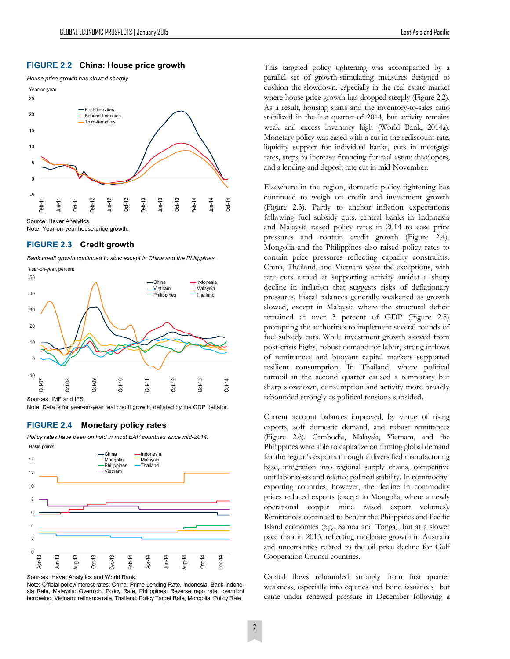## **FIGURE 2.2 China: House price growth**



Note: Year-on-year house price growth.

# **FIGURE 2.3 Credit growth**

*Bank credit growth continued to slow except in China and the Philippines.*



Sources: IMF and IFS.

Note: Data is for year-on-year real credit growth, deflated by the GDP deflator.

### **FIGURE 2.4 Monetary policy rates**

*Policy rates have been on hold in most EAP countries since mid-2014.* 



Sources: Haver Analytics and World Bank.

Note: Official policy/interest rates: China: Prime Lending Rate, Indonesia: Bank Indonesia Rate, Malaysia: Overnight Policy Rate, Philippines: Reverse repo rate: overnight borrowing, Vietnam: refinance rate, Thailand: Policy Target Rate, Mongolia: Policy Rate.

This targeted policy tightening was accompanied by a parallel set of growth-stimulating measures designed to cushion the slowdown, especially in the real estate market where house price growth has dropped steeply (Figure 2.2). As a result, housing starts and the inventory-to-sales ratio stabilized in the last quarter of 2014, but activity remains weak and excess inventory high (World Bank, 2014a). Monetary policy was eased with a cut in the rediscount rate, liquidity support for individual banks, cuts in mortgage rates, steps to increase financing for real estate developers, and a lending and deposit rate cut in mid-November.

Elsewhere in the region, domestic policy tightening has continued to weigh on credit and investment growth (Figure 2.3). Partly to anchor inflation expectations following fuel subsidy cuts, central banks in Indonesia and Malaysia raised policy rates in 2014 to ease price pressures and contain credit growth (Figure 2.4). Mongolia and the Philippines also raised policy rates to contain price pressures reflecting capacity constraints. China, Thailand, and Vietnam were the exceptions, with rate cuts aimed at supporting activity amidst a sharp decline in inflation that suggests risks of deflationary pressures. Fiscal balances generally weakened as growth slowed, except in Malaysia where the structural deficit remained at over 3 percent of GDP (Figure 2.5) prompting the authorities to implement several rounds of fuel subsidy cuts. While investment growth slowed from post-crisis highs, robust demand for labor, strong inflows of remittances and buoyant capital markets supported resilient consumption. In Thailand, where political turmoil in the second quarter caused a temporary but sharp slowdown, consumption and activity more broadly rebounded strongly as political tensions subsided.

Current account balances improved, by virtue of rising exports, soft domestic demand, and robust remittances (Figure 2.6). Cambodia, Malaysia, Vietnam, and the Philippines were able to capitalize on firming global demand for the region's exports through a diversified manufacturing base, integration into regional supply chains, competitive unit labor costs and relative political stability. In commodityexporting countries, however, the decline in commodity prices reduced exports (except in Mongolia, where a newly operational copper mine raised export volumes). Remittances continued to benefit the Philippines and Pacific Island economies (e.g., Samoa and Tonga), but at a slower pace than in 2013, reflecting moderate growth in Australia and uncertainties related to the oil price decline for Gulf Cooperation Council countries.

Capital flows rebounded strongly from first quarter weakness, especially into equities and bond issuances but came under renewed pressure in December following a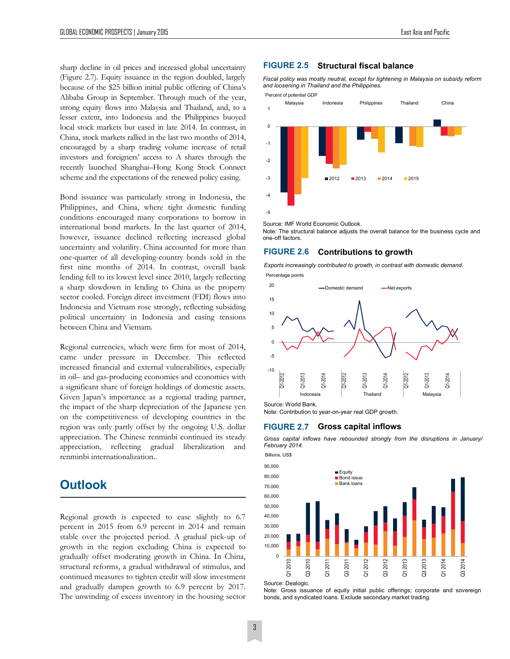sharp decline in oil prices and increased global uncertainty (Figure 2.7). Equity issuance in the region doubled, largely because of the \$25 billion initial public offering of China's Alibaba Group in September. Through much of the year, strong equity flows into Malaysia and Thailand, and, to a lesser extent, into Indonesia and the Philippines buoyed local stock markets but eased in late 2014. In contrast, in China, stock markets rallied in the last two months of 2014, encouraged by a sharp trading volume increase of retail investors and foreigners' access to A shares through the recently launched Shanghai–Hong Kong Stock Connect scheme and the expectations of the renewed policy easing.

Bond issuance was particularly strong in Indonesia, the Philippines, and China, where tight domestic funding conditions encouraged many corporations to borrow in international bond markets. In the last quarter of 2014, however, issuance declined reflecting increased global uncertainty and volatility. China accounted for more than one-quarter of all developing-country bonds sold in the first nine months of 2014. In contrast, overall bank lending fell to its lowest level since 2010, largely reflecting a sharp slowdown in lending to China as the property sector cooled. Foreign direct investment (FDI) flows into Indonesia and Vietnam rose strongly, reflecting subsiding political uncertainty in Indonesia and easing tensions between China and Vietnam.

Regional currencies, which were firm for most of 2014, came under pressure in December. This reflected increased financial and external vulnerabilities, especially in oil– and gas-producing economies and economies with a significant share of foreign holdings of domestic assets. Given Japan's importance as a regional trading partner, the impact of the sharp depreciation of the Japanese yen on the competitiveness of developing countries in the region was only partly offset by the ongoing U.S. dollar appreciation. The Chinese renminbi continued its steady appreciation, reflecting gradual liberalization and renminbi internationalization..

# **Outlook**

Regional growth is expected to ease slightly to 6.7 percent in 2015 from 6.9 percent in 2014 and remain stable over the projected period. A gradual pick-up of growth in the region excluding China is expected to gradually offset moderating growth in China. In China, structural reforms, a gradual withdrawal of stimulus, and continued measures to tighten credit will slow investment and gradually dampen growth to 6.9 percent by 2017. The unwinding of excess inventory in the housing sector

#### **FIGURE 2.5 Structural fiscal balance**

*Fiscal policy was mostly neutral, except for tightening in Malaysia on subsidy reform and loosening in Thailand and the Philippines.* 



Source: IMF World Economic Outlook.

Note: The structural balance adjusts the overall balance for the business cycle and one-off factors.

# **FIGURE 2.6 Contributions to growth**

*Exports increasingly contributed to growth, in contrast with domestic demand.*  Percentage points





Source: World Bank.

Note: Contribution to year-on-year real GDP growth.

#### **FIGURE 2.7 Gross capital inflows**

*Gross capital inflows have rebounded strongly from the disruptions in January/ February 2014.* 

Billions, US\$



Source: Dealogic.

Note: Gross issuance of equity initial public offerings; corporate and sovereign bonds, and syndicated loans. Exclude secondary market trading.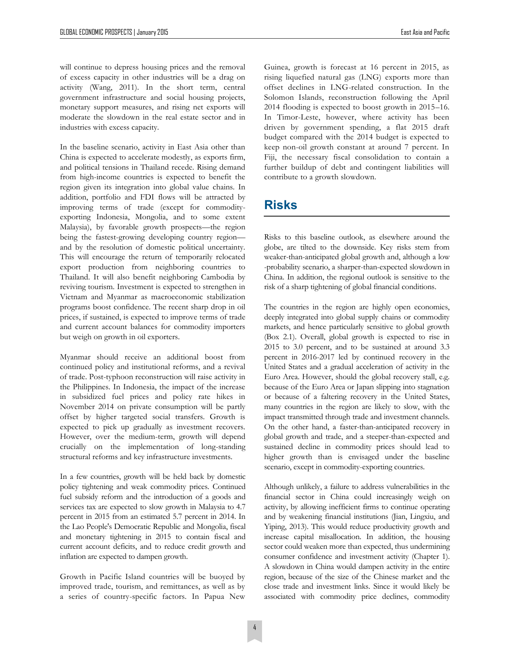will continue to depress housing prices and the removal of excess capacity in other industries will be a drag on activity (Wang, 2011). In the short term, central government infrastructure and social housing projects, monetary support measures, and rising net exports will moderate the slowdown in the real estate sector and in industries with excess capacity.

In the baseline scenario, activity in East Asia other than China is expected to accelerate modestly, as exports firm, and political tensions in Thailand recede. Rising demand from high-income countries is expected to benefit the region given its integration into global value chains. In addition, portfolio and FDI flows will be attracted by improving terms of trade (except for commodityexporting Indonesia, Mongolia, and to some extent Malaysia), by favorable growth prospects—the region being the fastest-growing developing country region and by the resolution of domestic political uncertainty. This will encourage the return of temporarily relocated export production from neighboring countries to Thailand. It will also benefit neighboring Cambodia by reviving tourism. Investment is expected to strengthen in Vietnam and Myanmar as macroeconomic stabilization programs boost confidence. The recent sharp drop in oil prices, if sustained, is expected to improve terms of trade and current account balances for commodity importers but weigh on growth in oil exporters.

Myanmar should receive an additional boost from continued policy and institutional reforms, and a revival of trade. Post-typhoon reconstruction will raise activity in the Philippines. In Indonesia, the impact of the increase in subsidized fuel prices and policy rate hikes in November 2014 on private consumption will be partly offset by higher targeted social transfers. Growth is expected to pick up gradually as investment recovers. However, over the medium-term, growth will depend crucially on the implementation of long-standing structural reforms and key infrastructure investments.

In a few countries, growth will be held back by domestic policy tightening and weak commodity prices. Continued fuel subsidy reform and the introduction of a goods and services tax are expected to slow growth in Malaysia to 4.7 percent in 2015 from an estimated 5.7 percent in 2014. In the Lao People's Democratic Republic and Mongolia, fiscal and monetary tightening in 2015 to contain fiscal and current account deficits, and to reduce credit growth and inflation are expected to dampen growth.

Growth in Pacific Island countries will be buoyed by improved trade, tourism, and remittances, as well as by a series of country-specific factors. In Papua New

Guinea, growth is forecast at 16 percent in 2015, as rising liquefied natural gas (LNG) exports more than offset declines in LNG-related construction. In the Solomon Islands, reconstruction following the April 2014 flooding is expected to boost growth in 2015–16. In Timor-Leste, however, where activity has been driven by government spending, a flat 2015 draft budget compared with the 2014 budget is expected to keep non-oil growth constant at around 7 percent. In Fiji, the necessary fiscal consolidation to contain a further buildup of debt and contingent liabilities will contribute to a growth slowdown.

# **Risks**

Risks to this baseline outlook, as elsewhere around the globe, are tilted to the downside. Key risks stem from weaker-than-anticipated global growth and, although a low -probability scenario, a sharper-than-expected slowdown in China. In addition, the regional outlook is sensitive to the risk of a sharp tightening of global financial conditions.

The countries in the region are highly open economies, deeply integrated into global supply chains or commodity markets, and hence particularly sensitive to global growth (Box 2.1). Overall, global growth is expected to rise in 2015 to 3.0 percent, and to be sustained at around 3.3 percent in 2016-2017 led by continued recovery in the United States and a gradual acceleration of activity in the Euro Area. However, should the global recovery stall, e.g. because of the Euro Area or Japan slipping into stagnation or because of a faltering recovery in the United States, many countries in the region are likely to slow, with the impact transmitted through trade and investment channels. On the other hand, a faster-than-anticipated recovery in global growth and trade, and a steeper-than-expected and sustained decline in commodity prices should lead to higher growth than is envisaged under the baseline scenario, except in commodity-exporting countries.

Although unlikely, a failure to address vulnerabilities in the financial sector in China could increasingly weigh on activity, by allowing inefficient firms to continue operating and by weakening financial institutions (Jian, Lingxiu, and Yiping, 2013). This would reduce productivity growth and increase capital misallocation. In addition, the housing sector could weaken more than expected, thus undermining consumer confidence and investment activity (Chapter 1). A slowdown in China would dampen activity in the entire region, because of the size of the Chinese market and the close trade and investment links. Since it would likely be associated with commodity price declines, commodity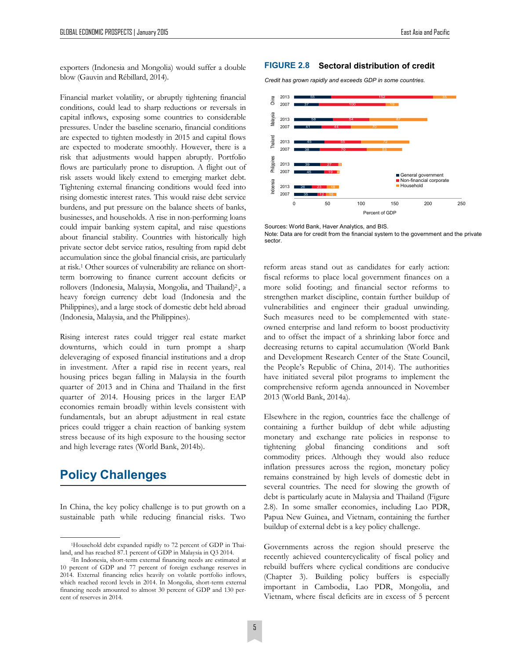exporters (Indonesia and Mongolia) would suffer a double blow (Gauvin and Rébillard, 2014).

Financial market volatility, or abruptly tightening financial conditions, could lead to sharp reductions or reversals in capital inflows, exposing some countries to considerable pressures. Under the baseline scenario, financial conditions are expected to tighten modestly in 2015 and capital flows are expected to moderate smoothly. However, there is a risk that adjustments would happen abruptly. Portfolio flows are particularly prone to disruption. A flight out of risk assets would likely extend to emerging market debt. Tightening external financing conditions would feed into rising domestic interest rates. This would raise debt service burdens, and put pressure on the balance sheets of banks, businesses, and households. A rise in non-performing loans could impair banking system capital, and raise questions about financial stability. Countries with historically high private sector debt service ratios, resulting from rapid debt accumulation since the global financial crisis, are particularly at risk.<sup>1</sup> Other sources of vulnerability are reliance on shortterm borrowing to finance current account deficits or rollovers (Indonesia, Malaysia, Mongolia, and Thailand)<sup>2</sup>, a heavy foreign currency debt load (Indonesia and the Philippines), and a large stock of domestic debt held abroad (Indonesia, Malaysia, and the Philippines).

Rising interest rates could trigger real estate market downturns, which could in turn prompt a sharp deleveraging of exposed financial institutions and a drop in investment. After a rapid rise in recent years, real housing prices began falling in Malaysia in the fourth quarter of 2013 and in China and Thailand in the first quarter of 2014. Housing prices in the larger EAP economies remain broadly within levels consistent with fundamentals, but an abrupt adjustment in real estate prices could trigger a chain reaction of banking system stress because of its high exposure to the housing sector and high leverage rates (World Bank, 2014b).

# **Policy Challenges**

In China, the key policy challenge is to put growth on a sustainable path while reducing financial risks. Two

## **FIGURE 2.8 Sectoral distribution of credit**

*Credit has grown rapidly and exceeds GDP in some countries.* 



Sources: World Bank, Haver Analytics, and BIS. Note: Data are for credit from the financial system to the government and the private sector.

reform areas stand out as candidates for early action: fiscal reforms to place local government finances on a more solid footing; and financial sector reforms to strengthen market discipline, contain further buildup of vulnerabilities and engineer their gradual unwinding. Such measures need to be complemented with stateowned enterprise and land reform to boost productivity and to offset the impact of a shrinking labor force and decreasing returns to capital accumulation (World Bank and Development Research Center of the State Council, the People's Republic of China, 2014). The authorities have initiated several pilot programs to implement the comprehensive reform agenda announced in November 2013 (World Bank, 2014a).

Elsewhere in the region, countries face the challenge of containing a further buildup of debt while adjusting monetary and exchange rate policies in response to tightening global financing conditions and soft commodity prices. Although they would also reduce inflation pressures across the region, monetary policy remains constrained by high levels of domestic debt in several countries. The need for slowing the growth of debt is particularly acute in Malaysia and Thailand (Figure 2.8). In some smaller economies, including Lao PDR, Papua New Guinea, and Vietnam, containing the further buildup of external debt is a key policy challenge.

Governments across the region should preserve the recently achieved countercyclicality of fiscal policy and rebuild buffers where cyclical conditions are conducive (Chapter 3). Building policy buffers is especially important in Cambodia, Lao PDR, Mongolia, and Vietnam, where fiscal deficits are in excess of 5 percent

<sup>1</sup>Household debt expanded rapidly to 72 percent of GDP in Thailand, and has reached 87.1 percent of GDP in Malaysia in Q3 2014.

<sup>2</sup>In Indonesia, short-term external financing needs are estimated at 10 percent of GDP and 77 percent of foreign exchange reserves in 2014. External financing relies heavily on volatile portfolio inflows, which reached record levels in 2014. In Mongolia, short-term external financing needs amounted to almost 30 percent of GDP and 130 percent of reserves in 2014.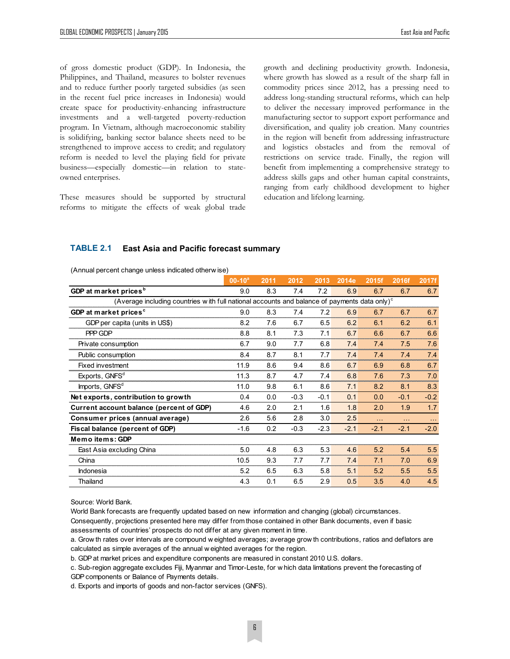of gross domestic product (GDP). In Indonesia, the Philippines, and Thailand, measures to bolster revenues and to reduce further poorly targeted subsidies (as seen in the recent fuel price increases in Indonesia) would create space for productivity-enhancing infrastructure investments and a well-targeted poverty-reduction program. In Vietnam, although macroeconomic stability is solidifying, banking sector balance sheets need to be strengthened to improve access to credit; and regulatory reform is needed to level the playing field for private business—especially domestic—in relation to stateowned enterprises.

These measures should be supported by structural reforms to mitigate the effects of weak global trade growth and declining productivity growth. Indonesia, where growth has slowed as a result of the sharp fall in commodity prices since 2012, has a pressing need to address long-standing structural reforms, which can help to deliver the necessary improved performance in the manufacturing sector to support export performance and diversification, and quality job creation. Many countries in the region will benefit from addressing infrastructure and logistics obstacles and from the removal of restrictions on service trade. Finally, the region will benefit from implementing a comprehensive strategy to address skills gaps and other human capital constraints, ranging from early childhood development to higher education and lifelong learning.

## **TABLE 2.1 East Asia and Pacific forecast summary**

(Annual percent change unless indicated otherw ise)

| (Annual percent change unless indicated otherw ise)                                                   |             |      |        |        |        |        |        |        |  |  |  |  |
|-------------------------------------------------------------------------------------------------------|-------------|------|--------|--------|--------|--------|--------|--------|--|--|--|--|
|                                                                                                       | $00-10^{a}$ | 2011 | 2012   | 2013   | 2014e  | 2015f  | 2016f  | 2017f  |  |  |  |  |
| GDP at market prices <sup>b</sup>                                                                     | 9.0         | 8.3  | 7.4    | 7.2    | 6.9    | 6.7    | 6.7    | 6.7    |  |  |  |  |
| (Average including countries with full national accounts and balance of payments data only) $\degree$ |             |      |        |        |        |        |        |        |  |  |  |  |
| GDP at market prices <sup>c</sup>                                                                     | 9.0         | 8.3  | 7.4    | 7.2    | 6.9    | 6.7    | 6.7    | 6.7    |  |  |  |  |
| GDP per capita (units in US\$)                                                                        | 8.2         | 7.6  | 6.7    | 6.5    | 6.2    | 6.1    | 6.2    | 6.1    |  |  |  |  |
| PPP GDP                                                                                               | 8.8         | 8.1  | 7.3    | 7.1    | 6.7    | 6.6    | 6.7    | 6.6    |  |  |  |  |
| Private consumption                                                                                   | 6.7         | 9.0  | 7.7    | 6.8    | 7.4    | 7.4    | 7.5    | 7.6    |  |  |  |  |
| Public consumption                                                                                    | 8.4         | 8.7  | 8.1    | 7.7    | 7.4    | 7.4    | 7.4    | 7.4    |  |  |  |  |
| Fixed investment                                                                                      | 11.9        | 8.6  | 9.4    | 8.6    | 6.7    | 6.9    | 6.8    | 6.7    |  |  |  |  |
| Exports, GNFS <sup>d</sup>                                                                            | 11.3        | 8.7  | 4.7    | 7.4    | 6.8    | 7.6    | 7.3    | 7.0    |  |  |  |  |
| Imports, GNFS <sup>d</sup>                                                                            | 11.0        | 9.8  | 6.1    | 8.6    | 7.1    | 8.2    | 8.1    | 8.3    |  |  |  |  |
| Net exports, contribution to growth                                                                   | 0.4         | 0.0  | $-0.3$ | $-0.1$ | 0.1    | 0.0    | $-0.1$ | $-0.2$ |  |  |  |  |
| Current account balance (percent of GDP)                                                              | 4.6         | 2.0  | 2.1    | 1.6    | 1.8    | 2.0    | 1.9    | 1.7    |  |  |  |  |
| Consumer prices (annual average)                                                                      | 2.6         | 5.6  | 2.8    | 3.0    | 2.5    | .      | $\sim$ | $\sim$ |  |  |  |  |
| Fiscal balance (percent of GDP)                                                                       | $-1.6$      | 0.2  | $-0.3$ | $-2.3$ | $-2.1$ | $-2.1$ | $-2.1$ | $-2.0$ |  |  |  |  |
| Memo items: GDP                                                                                       |             |      |        |        |        |        |        |        |  |  |  |  |
| East Asia excluding China                                                                             | 5.0         | 4.8  | 6.3    | 5.3    | 4.6    | 5.2    | 5.4    | 5.5    |  |  |  |  |
| China                                                                                                 | 10.5        | 9.3  | 7.7    | 7.7    | 7.4    | 7.1    | 7.0    | 6.9    |  |  |  |  |
| Indonesia                                                                                             | 5.2         | 6.5  | 6.3    | 5.8    | 5.1    | 5.2    | 5.5    | 5.5    |  |  |  |  |
| Thailand                                                                                              | 4.3         | 0.1  | 6.5    | 2.9    | 0.5    | 3.5    | 4.0    | 4.5    |  |  |  |  |

Source: World Bank.

World Bank forecasts are frequently updated based on new information and changing (global) circumstances.

Consequently, projections presented here may differ from those contained in other Bank documents, even if basic assessments of countries' prospects do not differ at any given moment in time. World Bank forecasts are frequently updated based on new information and changing (global) circumstances.<br>Consequently, projections presented here may differ from those contained in other Bank documents, even if basic<br>asse

Consequently, projections presented here may differ from those contained in of assessments of countries' prospects do not differ at any given moment in time.<br>a. Grow th rates over intervals are compound w eighted averages; a. Grow th rates over intervals are compound w eighted averages; average grow th contributions, ratios and deflators are calculated as simple averages of the annual w eighted averages for the region.<br>b. GDP at market price

b. GDP at market prices and expenditure components are measured in constant 2010 U.S. dollars.

GDP components or Balance of Payments details.

d. Exports and imports of goods and non-factor services (GNFS).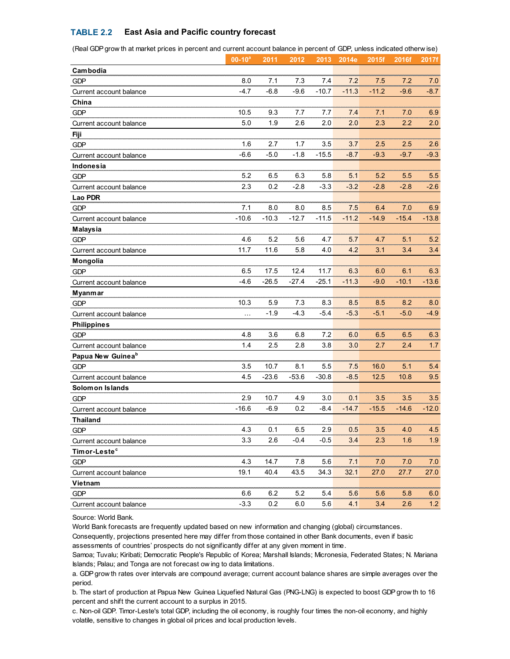# **TABLE 2.2 East Asia and Pacific country forecast**

| ow ar acritative, phose in person, and surrent account paiance in person, or son, anicos indicat |             |         |         |         |         |         |         |         |
|--------------------------------------------------------------------------------------------------|-------------|---------|---------|---------|---------|---------|---------|---------|
|                                                                                                  | $00-10^{a}$ | 2011    | 2012    | 2013    | 2014e   | 2015f   | 2016f   | 2017f   |
| Cambodia                                                                                         |             |         |         |         |         |         |         |         |
| <b>GDP</b>                                                                                       | 8.0         | 7.1     | 7.3     | 7.4     | 7.2     | 7.5     | 7.2     | 7.0     |
| Current account balance                                                                          | $-4.7$      | $-6.8$  | $-9.6$  | $-10.7$ | $-11.3$ | $-11.2$ | $-9.6$  | $-8.7$  |
| China                                                                                            |             |         |         |         |         |         |         |         |
| <b>GDP</b>                                                                                       | 10.5        | 9.3     | 7.7     | 7.7     | 7.4     | 7.1     | 7.0     | 6.9     |
| Current account balance                                                                          | 5.0         | 1.9     | 2.6     | 2.0     | 2.0     | 2.3     | 2.2     | 2.0     |
| Fiji                                                                                             |             |         |         |         |         |         |         |         |
| <b>GDP</b>                                                                                       | 1.6         | 2.7     | 1.7     | 3.5     | 3.7     | 2.5     | 2.5     | 2.6     |
| Current account balance                                                                          | $-6.6$      | $-5.0$  | $-1.8$  | $-15.5$ | $-8.7$  | $-9.3$  | $-9.7$  | $-9.3$  |
| Indonesia                                                                                        |             |         |         |         |         |         |         |         |
| <b>GDP</b>                                                                                       | 5.2         | 6.5     | 6.3     | 5.8     | 5.1     | 5.2     | 5.5     | 5.5     |
| Current account balance                                                                          | 2.3         | 0.2     | $-2.8$  | $-3.3$  | $-3.2$  | $-2.8$  | $-2.8$  | $-2.6$  |
| Lao PDR                                                                                          |             |         |         |         |         |         |         |         |
| <b>GDP</b>                                                                                       | 7.1         | 8.0     | 8.0     | 8.5     | 7.5     | 6.4     | 7.0     | 6.9     |
| Current account balance                                                                          | $-10.6$     | $-10.3$ | $-12.7$ | $-11.5$ | $-11.2$ | $-14.9$ | $-15.4$ | $-13.8$ |
| <b>Malaysia</b>                                                                                  |             |         |         |         |         |         |         |         |
| <b>GDP</b>                                                                                       | 4.6         | 5.2     | 5.6     | 4.7     | 5.7     | 4.7     | 5.1     | 5.2     |
| Current account balance                                                                          | 11.7        | 11.6    | 5.8     | 4.0     | 4.2     | 3.1     | 3.4     | 3.4     |
| Mongolia                                                                                         |             |         |         |         |         |         |         |         |
| <b>GDP</b>                                                                                       | 6.5         | 17.5    | 12.4    | 11.7    | 6.3     | 6.0     | 6.1     | 6.3     |
| Current account balance                                                                          | $-4.6$      | $-26.5$ | $-27.4$ | -25.1   | $-11.3$ | $-9.0$  | $-10.1$ | $-13.6$ |
| Myanmar                                                                                          |             |         |         |         |         |         |         |         |
| <b>GDP</b>                                                                                       | 10.3        | 5.9     | 7.3     | 8.3     | 8.5     | 8.5     | 8.2     | 8.0     |
| Current account balance                                                                          | $\cdots$    | $-1.9$  | $-4.3$  | $-5.4$  | $-5.3$  | $-5.1$  | $-5.0$  | $-4.9$  |
| <b>Philippines</b>                                                                               |             |         |         |         |         |         |         |         |
| <b>GDP</b>                                                                                       | 4.8         | 3.6     | 6.8     | 7.2     | 6.0     | 6.5     | 6.5     | 6.3     |
| Current account balance                                                                          | 1.4         | 2.5     | 2.8     | 3.8     | 3.0     | 2.7     | 2.4     | 1.7     |
| Papua New Guinea <sup>b</sup>                                                                    |             |         |         |         |         |         |         |         |
| <b>GDP</b>                                                                                       | 3.5         | 10.7    | 8.1     | 5.5     | 7.5     | 16.0    | 5.1     | 5.4     |
| Current account balance                                                                          | 4.5         | $-23.6$ | $-53.6$ | $-30.8$ | $-8.5$  | 12.5    | 10.8    | 9.5     |
| Solomon Islands                                                                                  |             |         |         |         |         |         |         |         |
| <b>GDP</b>                                                                                       | 2.9         | 10.7    | 4.9     | 3.0     | 0.1     | 3.5     | 3.5     | 3.5     |
| Current account balance                                                                          | $-16.6$     | $-6.9$  | 0.2     | $-8.4$  | $-14.7$ | $-15.5$ | $-14.6$ | $-12.0$ |
| <b>Thailand</b>                                                                                  |             |         |         |         |         |         |         |         |
| GDP                                                                                              | 4.3         | 0.1     | 6.5     | 2.9     | 0.5     | 3.5     | 4.0     | 4.5     |
| Current account balance                                                                          | 3.3         | 2.6     | $-0.4$  | $-0.5$  | 3.4     | 2.3     | 1.6     | 1.9     |
| Timor-Leste <sup>c</sup>                                                                         |             |         |         |         |         |         |         |         |
| GDP                                                                                              | 4.3         | 14.7    | 7.8     | 5.6     | 7.1     | 7.0     | 7.0     | 7.0     |
| Current account balance                                                                          | 19.1        | 40.4    | 43.5    | 34.3    | 32.1    | 27.0    | 27.7    | 27.0    |
| Vietnam                                                                                          |             |         |         |         |         |         |         |         |
| <b>GDP</b>                                                                                       | 6.6         | 6.2     | 5.2     | 5.4     | 5.6     | 5.6     | 5.8     | 6.0     |
| Current account balance                                                                          | $-3.3$      | 0.2     | 6.0     | 5.6     | 4.1     | 3.4     | 2.6     | 1.2     |

(Real GDP grow th at market prices in percent and current account balance in percent of GDP, unless indicated otherw ise)

Source: World Bank.

World Bank forecasts are frequently updated based on new information and changing (global) circumstances.

Consequently, projections presented here may differ from those contained in other Bank documents, even if basic assessments of countries' prospects do not significantly differ at any given moment in time.

Samoa; Tuvalu; Kiribati; Democratic People's Republic of Korea; Marshall Islands; Micronesia, Federated States; N. Mariana Consequently, projections presented here may differ from those consessessments of countries' prospects do not significantly differ at a<br>Samoa; Tuvalu; Kiribati; Democratic People's Republic of Korea; Mar<br>Islands; Palau; an assessments of countries' prospects do not significantly differ at any given moment in time .<br>Samoa; Tuvalu; Kiribati; Democratic People's Republic of Korea; Marshall Islands; Micronesia, Federated States; N. Mariana<br>Islan

period. b. Stands; Palau; and Tonga are not forecast ow ing to data limitations.<br>
a. GDP grow th rates over intervals are compound average; current account balance shares are simple averages over the<br>
period.<br>
b. The start of prod

percent and shift the current account to a surplus in 2015.

c. Non-oil GDP. Timor-Leste's total GDP, including the oil economy, is roughly four times the non-oil economy, and highly volatile, sensitive to changes in global oil prices and local production levels.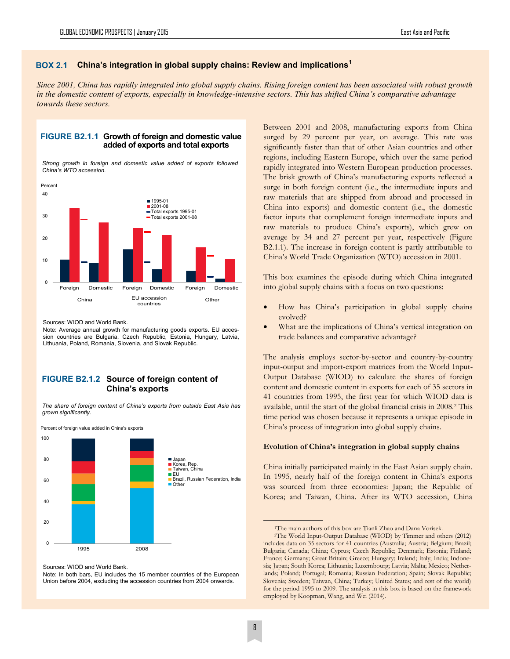# **China's integration in global supply chains: Review and implications<sup>1</sup> BOX 2.1**

*Since 2001, China has rapidly integrated into global supply chains. Rising foreign content has been associated with robust growth in the domestic content of exports, especially in knowledge-intensive sectors. This has shifted China's comparative advantage towards these sectors.* 



*Strong growth in foreign and domestic value added of exports followed China's WTO accession.* 



Sources: WIOD and World Bank.

Note: Average annual growth for manufacturing goods exports. EU accession countries are Bulgaria, Czech Republic, Estonia, Hungary, Latvia, Lithuania, Poland, Romania, Slovenia, and Slovak Republic.

# **FIGURE B2.1.2 Source of foreign content of China's exports**

*The share of foreign content of China's exports from outside East Asia has grown significantly.* 



Percent of foreign value added in China's exports

Note: In both bars, EU includes the 15 member countries of the European Union before 2004, excluding the accession countries from 2004 onwards.

Between 2001 and 2008, manufacturing exports from China surged by 29 percent per year, on average. This rate was significantly faster than that of other Asian countries and other regions, including Eastern Europe, which over the same period rapidly integrated into Western European production processes. The brisk growth of China's manufacturing exports reflected a surge in both foreign content (i.e., the intermediate inputs and raw materials that are shipped from abroad and processed in China into exports) and domestic content (i.e., the domestic factor inputs that complement foreign intermediate inputs and raw materials to produce China's exports), which grew on average by 34 and 27 percent per year, respectively (Figure B2.1.1). The increase in foreign content is partly attributable to China's World Trade Organization (WTO) accession in 2001.

This box examines the episode during which China integrated into global supply chains with a focus on two questions:

- How has China's participation in global supply chains evolved?
- What are the implications of China's vertical integration on trade balances and comparative advantage?

The analysis employs sector-by-sector and country-by-country input-output and import-export matrices from the World Input-Output Database (WIOD) to calculate the shares of foreign content and domestic content in exports for each of 35 sectors in 41 countries from 1995, the first year for which WIOD data is available, until the start of the global financial crisis in 2008.<sup>2</sup> This time period was chosen because it represents a unique episode in China's process of integration into global supply chains.

#### **Evolution of China's integration in global supply chains**

China initially participated mainly in the East Asian supply chain. In 1995, nearly half of the foreign content in China's exports was sourced from three economies: Japan; the Republic of Korea; and Taiwan, China. After its WTO accession, China

Sources: WIOD and World Bank.

<sup>1</sup>The main authors of this box are Tianli Zhao and Dana Vorisek.

<sup>2</sup>The World Input-Output Database (WIOD) by Timmer and others (2012) includes data on 35 sectors for 41 countries (Australia; Austria; Belgium; Brazil; Bulgaria; Canada; China; Cyprus; Czech Republic; Denmark; Estonia; Finland; France; Germany; Great Britain; Greece; Hungary; Ireland; Italy; India; Indonesia; Japan; South Korea; Lithuania; Luxembourg; Latvia; Malta; Mexico; Netherlands; Poland; Portugal; Romania; Russian Federation; Spain; Slovak Republic; Slovenia; Sweden; Taiwan, China; Turkey; United States; and rest of the world) for the period 1995 to 2009. The analysis in this box is based on the framework employed by Koopman, Wang, and Wei (2014).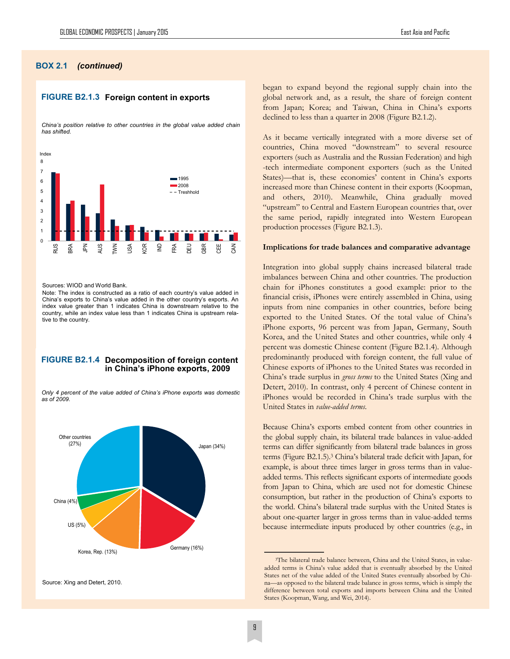#### **BOX 2.1** *(continued)*

### **FIGURE B2.1.3 Foreign content in exports**

*China's position relative to other countries in the global value added chain has shifted.*



Sources: WIOD and World Bank.

Note: The index is constructed as a ratio of each country's value added in China's exports to China's value added in the other country's exports. An index value greater than 1 indicates China is downstream relative to the country, while an index value less than 1 indicates China is upstream relative to the country.

#### **FIGURE B2.1.4 Decomposition of foreign content in China's iPhone exports, 2009**

*Only 4 percent of the value added of China's iPhone exports was domestic as of 2009.* 



began to expand beyond the regional supply chain into the global network and, as a result, the share of foreign content from Japan; Korea; and Taiwan, China in China's exports declined to less than a quarter in 2008 (Figure B2.1.2).

As it became vertically integrated with a more diverse set of countries, China moved "downstream" to several resource exporters (such as Australia and the Russian Federation) and high -tech intermediate component exporters (such as the United States)—that is, these economies' content in China's exports increased more than Chinese content in their exports (Koopman, and others, 2010). Meanwhile, China gradually moved "upstream" to Central and Eastern European countries that, over the same period, rapidly integrated into Western European production processes (Figure B2.1.3).

#### **Implications for trade balances and comparative advantage**

Integration into global supply chains increased bilateral trade imbalances between China and other countries. The production chain for iPhones constitutes a good example: prior to the financial crisis, iPhones were entirely assembled in China, using inputs from nine companies in other countries, before being exported to the United States. Of the total value of China's iPhone exports, 96 percent was from Japan, Germany, South Korea, and the United States and other countries, while only 4 percent was domestic Chinese content (Figure B2.1.4). Although predominantly produced with foreign content, the full value of Chinese exports of iPhones to the United States was recorded in China's trade surplus in *gross terms* to the United States (Xing and Detert, 2010). In contrast, only 4 percent of Chinese content in iPhones would be recorded in China's trade surplus with the United States in *value-added terms.* 

Because China's exports embed content from other countries in the global supply chain, its bilateral trade balances in value-added terms can differ significantly from bilateral trade balances in gross terms (Figure B2.1.5).<sup>3</sup> China's bilateral trade deficit with Japan, for example, is about three times larger in gross terms than in valueadded terms. This reflects significant exports of intermediate goods from Japan to China, which are used not for domestic Chinese consumption, but rather in the production of China's exports to the world. China's bilateral trade surplus with the United States is about one-quarter larger in gross terms than in value-added terms because intermediate inputs produced by other countries (e.g., in

<sup>&</sup>lt;sup>3</sup>The bilateral trade balance between, China and the United States, in valueadded terms is China's value added that is eventually absorbed by the United States net of the value added of the United States eventually absorbed by China—as opposed to the bilateral trade balance in gross terms, which is simply the difference between total exports and imports between China and the United States (Koopman, Wang, and Wei, 2014).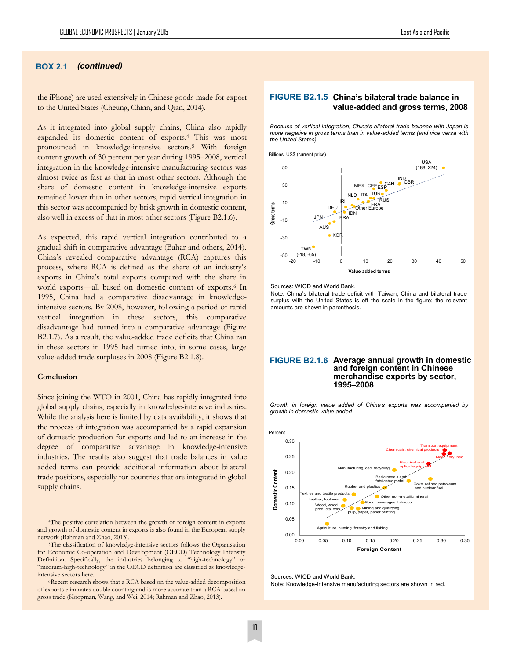# **BOX 2.1** *(continued)*

the iPhone) are used extensively in Chinese goods made for export to the United States (Cheung, Chinn, and Qian, 2014).

As it integrated into global supply chains, China also rapidly expanded its domestic content of exports.<sup>4</sup> This was most pronounced in knowledge-intensive sectors.<sup>5</sup> With foreign content growth of 30 percent per year during 1995–2008, vertical integration in the knowledge-intensive manufacturing sectors was almost twice as fast as that in most other sectors. Although the share of domestic content in knowledge-intensive exports remained lower than in other sectors, rapid vertical integration in this sector was accompanied by brisk growth in domestic content, also well in excess of that in most other sectors (Figure B2.1.6).

As expected, this rapid vertical integration contributed to a gradual shift in comparative advantage (Bahar and others, 2014). China's revealed comparative advantage (RCA) captures this process, where RCA is defined as the share of an industry's exports in China's total exports compared with the share in world exports—all based on domestic content of exports.<sup>6</sup> In 1995, China had a comparative disadvantage in knowledgeintensive sectors. By 2008, however, following a period of rapid vertical integration in these sectors, this comparative disadvantage had turned into a comparative advantage (Figure B2.1.7). As a result, the value-added trade deficits that China ran in these sectors in 1995 had turned into, in some cases, large value-added trade surpluses in 2008 (Figure B2.1.8).

#### **Conclusion**

Since joining the WTO in 2001, China has rapidly integrated into global supply chains, especially in knowledge-intensive industries. While the analysis here is limited by data availability, it shows that the process of integration was accompanied by a rapid expansion of domestic production for exports and led to an increase in the degree of comparative advantage in knowledge-intensive industries. The results also suggest that trade balances in value added terms can provide additional information about bilateral trade positions, especially for countries that are integrated in global supply chains.

# FIGURE B2.1.5 China's bilateral trade balance in **value-added and gross terms, 2008**

*Because of vertical integration, China's bilateral trade balance with Japan is more negative in gross terms than in value-added terms (and vice versa with the United States).* 



#### Sources: WIOD and World Bank.

Note: China's bilateral trade deficit with Taiwan, China and bilateral trade surplus with the United States is off the scale in the figure; the relevant amounts are shown in parenthesis.

#### **FIGURE B2.1.6 Average annual growth in domestic and foreign content in Chinese merchandise exports by sector, 1995–2008**

*Growth in foreign value added of China's exports was accompanied by growth in domestic value added.* 



Sources: WIOD and World Bank.

Note: Knowledge-Intensive manufacturing sectors are shown in red.

<sup>4</sup>The positive correlation between the growth of foreign content in exports and growth of domestic content in exports is also found in the European supply network (Rahman and Zhao, 2013).

<sup>5</sup>The classification of knowledge-intensive sectors follows the Organisation for Economic Co-operation and Development (OECD) Technology Intensity Definition. Specifically, the industries belonging to "high-technology" or "medium-high-technology" in the OECD definition are classified as knowledgeintensive sectors here.

<sup>6</sup>Recent research shows that a RCA based on the value-added decomposition of exports eliminates double counting and is more accurate than a RCA based on gross trade (Koopman, Wang, and Wei, 2014; Rahman and Zhao, 2013).